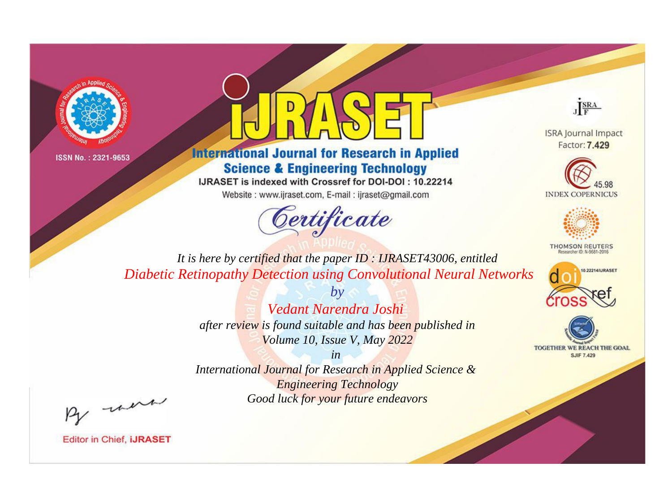



**International Journal for Research in Applied Science & Engineering Technology** 

IJRASET is indexed with Crossref for DOI-DOI: 10.22214

Website: www.ijraset.com, E-mail: ijraset@gmail.com



JERA

**ISRA Journal Impact** Factor: 7.429





**THOMSON REUTERS** 



TOGETHER WE REACH THE GOAL **SJIF 7.429** 

*It is here by certified that the paper ID : IJRASET43006, entitled Diabetic Retinopathy Detection using Convolutional Neural Networks*

> *by Vedant Narendra Joshi after review is found suitable and has been published in Volume 10, Issue V, May 2022*

> > *in*

*International Journal for Research in Applied Science & Engineering Technology Good luck for your future endeavors*

By morn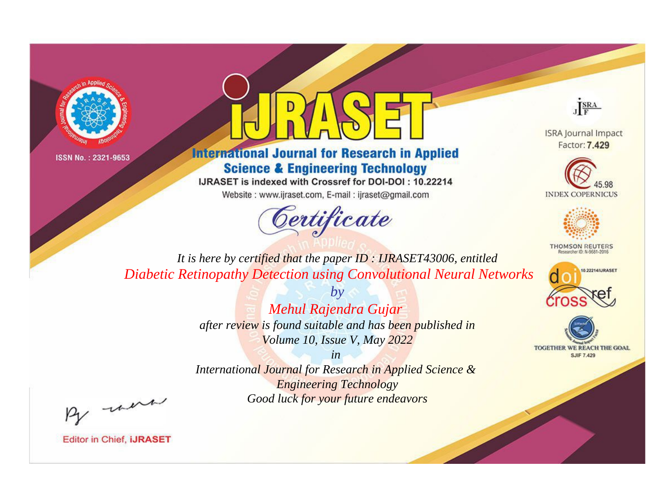



**International Journal for Research in Applied Science & Engineering Technology** 

IJRASET is indexed with Crossref for DOI-DOI: 10.22214

Website: www.ijraset.com, E-mail: ijraset@gmail.com



JERA

**ISRA Journal Impact** Factor: 7.429





**THOMSON REUTERS** 



TOGETHER WE REACH THE GOAL **SJIF 7.429** 

*It is here by certified that the paper ID : IJRASET43006, entitled Diabetic Retinopathy Detection using Convolutional Neural Networks*

> *by Mehul Rajendra Gujar after review is found suitable and has been published in Volume 10, Issue V, May 2022*

> > *in*

*International Journal for Research in Applied Science & Engineering Technology Good luck for your future endeavors*

By morn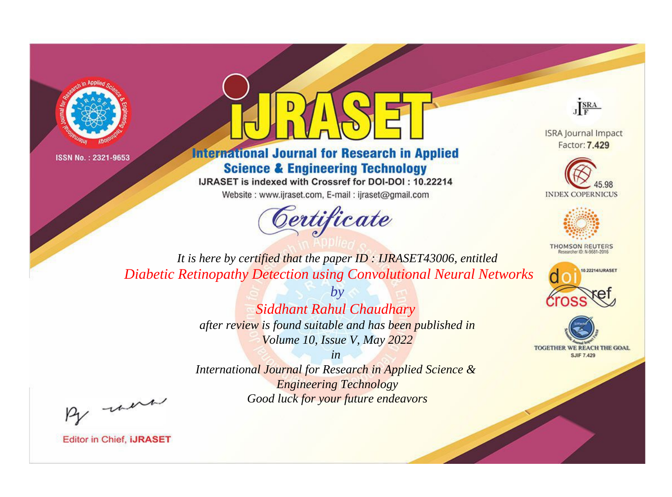



**International Journal for Research in Applied Science & Engineering Technology** 

IJRASET is indexed with Crossref for DOI-DOI: 10.22214

Website: www.ijraset.com, E-mail: ijraset@gmail.com



JERA

**ISRA Journal Impact** Factor: 7.429





**THOMSON REUTERS** 



TOGETHER WE REACH THE GOAL **SJIF 7.429** 

*It is here by certified that the paper ID : IJRASET43006, entitled Diabetic Retinopathy Detection using Convolutional Neural Networks*

> *by Siddhant Rahul Chaudhary after review is found suitable and has been published in Volume 10, Issue V, May 2022*

> > *in*

*International Journal for Research in Applied Science & Engineering Technology Good luck for your future endeavors*

By morn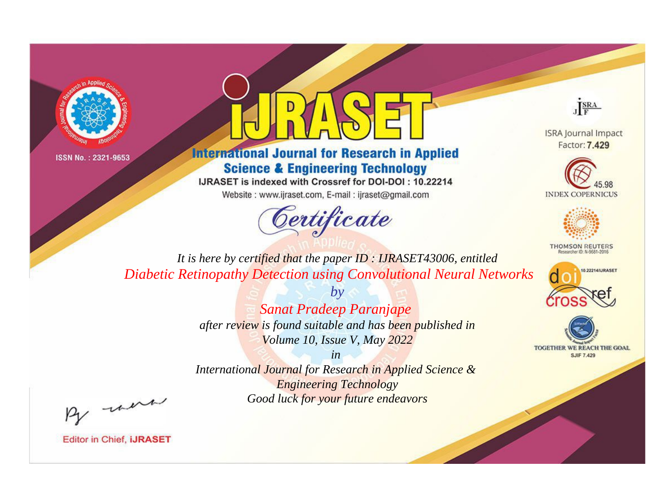



**International Journal for Research in Applied Science & Engineering Technology** 

IJRASET is indexed with Crossref for DOI-DOI: 10.22214

Website: www.ijraset.com, E-mail: ijraset@gmail.com



JERA

**ISRA Journal Impact** Factor: 7.429





**THOMSON REUTERS** 



TOGETHER WE REACH THE GOAL **SJIF 7.429** 

*It is here by certified that the paper ID : IJRASET43006, entitled Diabetic Retinopathy Detection using Convolutional Neural Networks*

> *by Sanat Pradeep Paranjape after review is found suitable and has been published in Volume 10, Issue V, May 2022*

> > *in*

*International Journal for Research in Applied Science & Engineering Technology Good luck for your future endeavors*

By morn